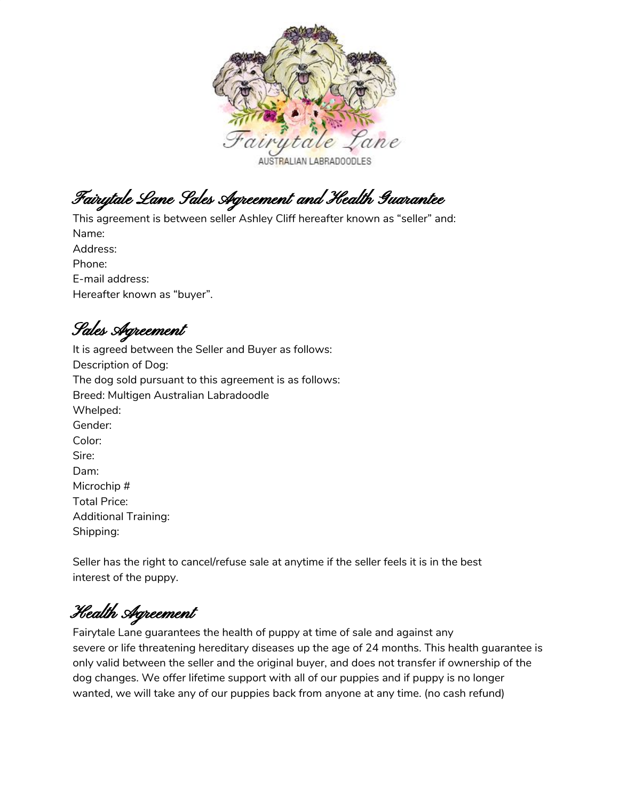

Fairytale Lane Sales Agreement and Health Guarantee

This agreement is between seller Ashley Cliff hereafter known as "seller" and: Name: Address: Phone: E-mail address: Hereafter known as "buyer".

Sales Agreement

It is agreed between the Seller and Buyer as follows: Description of Dog: The dog sold pursuant to this agreement is as follows: Breed: Multigen Australian Labradoodle Whelped: Gender: Color: Sire: Dam: Microchip # Total Price: Additional Training: Shipping:

Seller has the right to cancel/refuse sale at anytime if the seller feels it is in the best interest of the puppy.

Health Agreement

Fairytale Lane guarantees the health of puppy at time of sale and against any severe or life threatening hereditary diseases up the age of 24 months. This health guarantee is only valid between the seller and the original buyer, and does not transfer if ownership of the dog changes. We offer lifetime support with all of our puppies and if puppy is no longer wanted, we will take any of our puppies back from anyone at any time. (no cash refund)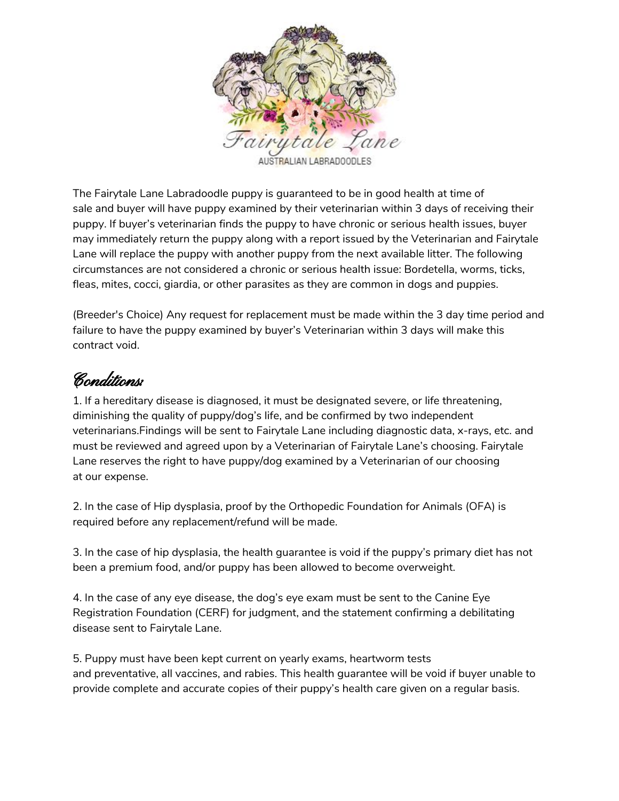

The Fairytale Lane Labradoodle puppy is guaranteed to be in good health at time of sale and buyer will have puppy examined by their veterinarian within 3 days of receiving their puppy. If buyer's veterinarian finds the puppy to have chronic or serious health issues, buyer may immediately return the puppy along with a report issued by the Veterinarian and Fairytale Lane will replace the puppy with another puppy from the next available litter. The following circumstances are not considered a chronic or serious health issue: Bordetella, worms, ticks, fleas, mites, cocci, giardia, or other parasites as they are common in dogs and puppies.

(Breeder's Choice) Any request for replacement must be made within the 3 day time period and failure to have the puppy examined by buyer's Veterinarian within 3 days will make this contract void.

## Conditions:

1. If a hereditary disease is diagnosed, it must be designated severe, or life threatening, diminishing the quality of puppy/dog's life, and be confirmed by two independent veterinarians.Findings will be sent to Fairytale Lane including diagnostic data, x-rays, etc. and must be reviewed and agreed upon by a Veterinarian of Fairytale Lane's choosing. Fairytale Lane reserves the right to have puppy/dog examined by a Veterinarian of our choosing at our expense.

2. In the case of Hip dysplasia, proof by the Orthopedic Foundation for Animals (OFA) is required before any replacement/refund will be made.

3. In the case of hip dysplasia, the health guarantee is void if the puppy's primary diet has not been a premium food, and/or puppy has been allowed to become overweight.

4. In the case of any eye disease, the dog's eye exam must be sent to the Canine Eye Registration Foundation (CERF) for judgment, and the statement confirming a debilitating disease sent to Fairytale Lane.

5. Puppy must have been kept current on yearly exams, heartworm tests and preventative, all vaccines, and rabies. This health guarantee will be void if buyer unable to provide complete and accurate copies of their puppy's health care given on a regular basis.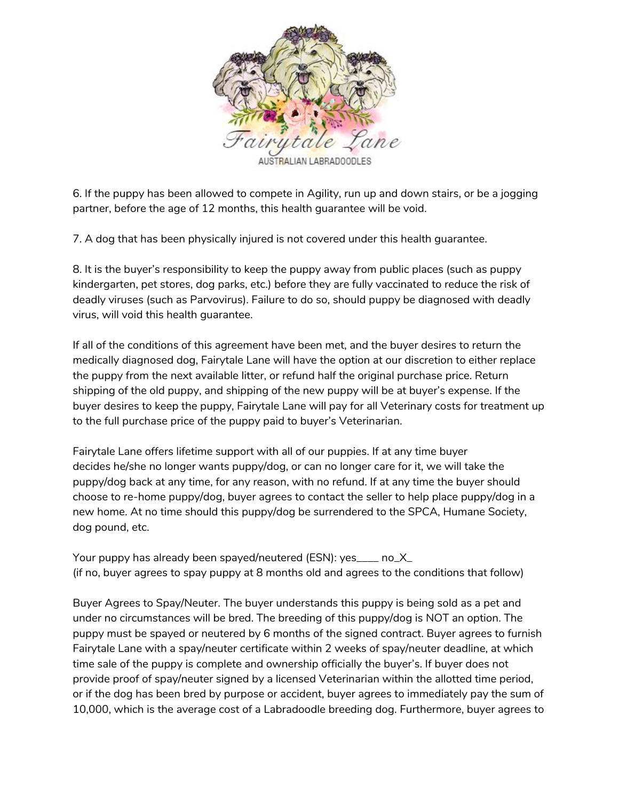

6. If the puppy has been allowed to compete in Agility, run up and down stairs, or be a jogging partner, before the age of 12 months, this health guarantee will be void.

7. A dog that has been physically injured is not covered under this health guarantee.

8. It is the buyer's responsibility to keep the puppy away from public places (such as puppy kindergarten, pet stores, dog parks, etc.) before they are fully vaccinated to reduce the risk of deadly viruses (such as Parvovirus). Failure to do so, should puppy be diagnosed with deadly virus, will void this health guarantee.

If all of the conditions of this agreement have been met, and the buyer desires to return the medically diagnosed dog, Fairytale Lane will have the option at our discretion to either replace the puppy from the next available litter, or refund half the original purchase price. Return shipping of the old puppy, and shipping of the new puppy will be at buyer's expense. If the buyer desires to keep the puppy, Fairytale Lane will pay for all Veterinary costs for treatment up to the full purchase price of the puppy paid to buyer's Veterinarian.

Fairytale Lane offers lifetime support with all of our puppies. If at any time buyer decides he/she no longer wants puppy/dog, or can no longer care for it, we will take the puppy/dog back at any time, for any reason, with no refund. If at any time the buyer should choose to re-home puppy/dog, buyer agrees to contact the seller to help place puppy/dog in a new home. At no time should this puppy/dog be surrendered to the SPCA, Humane Society, dog pound, etc.

Your puppy has already been spayed/neutered (ESN): yes\_\_\_\_ no\_X\_ (if no, buyer agrees to spay puppy at 8 months old and agrees to the conditions that follow)

Buyer Agrees to Spay/Neuter. The buyer understands this puppy is being sold as a pet and under no circumstances will be bred. The breeding of this puppy/dog is NOT an option. The puppy must be spayed or neutered by 6 months of the signed contract. Buyer agrees to furnish Fairytale Lane with a spay/neuter certificate within 2 weeks of spay/neuter deadline, at which time sale of the puppy is complete and ownership officially the buyer's. If buyer does not provide proof of spay/neuter signed by a licensed Veterinarian within the allotted time period, or if the dog has been bred by purpose or accident, buyer agrees to immediately pay the sum of 10,000, which is the average cost of a Labradoodle breeding dog. Furthermore, buyer agrees to